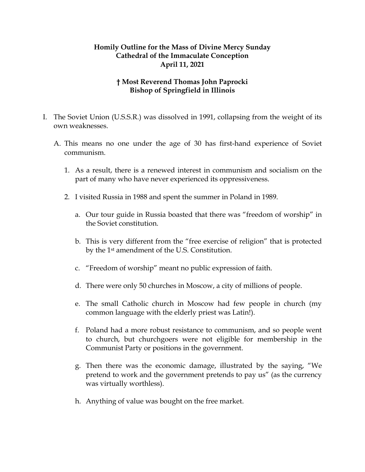## **Homily Outline for the Mass of Divine Mercy Sunday Cathedral of the Immaculate Conception April 11, 2021**

## **† Most Reverend Thomas John Paprocki Bishop of Springfield in Illinois**

- I. The Soviet Union (U.S.S.R.) was dissolved in 1991, collapsing from the weight of its own weaknesses.
	- A. This means no one under the age of 30 has first-hand experience of Soviet communism.
		- 1. As a result, there is a renewed interest in communism and socialism on the part of many who have never experienced its oppressiveness.
		- 2. I visited Russia in 1988 and spent the summer in Poland in 1989.
			- a. Our tour guide in Russia boasted that there was "freedom of worship" in the Soviet constitution.
			- b. This is very different from the "free exercise of religion" that is protected by the 1st amendment of the U.S. Constitution.
			- c. "Freedom of worship" meant no public expression of faith.
			- d. There were only 50 churches in Moscow, a city of millions of people.
			- e. The small Catholic church in Moscow had few people in church (my common language with the elderly priest was Latin!).
			- f. Poland had a more robust resistance to communism, and so people went to church, but churchgoers were not eligible for membership in the Communist Party or positions in the government.
			- g. Then there was the economic damage, illustrated by the saying, "We pretend to work and the government pretends to pay us" (as the currency was virtually worthless).
			- h. Anything of value was bought on the free market.